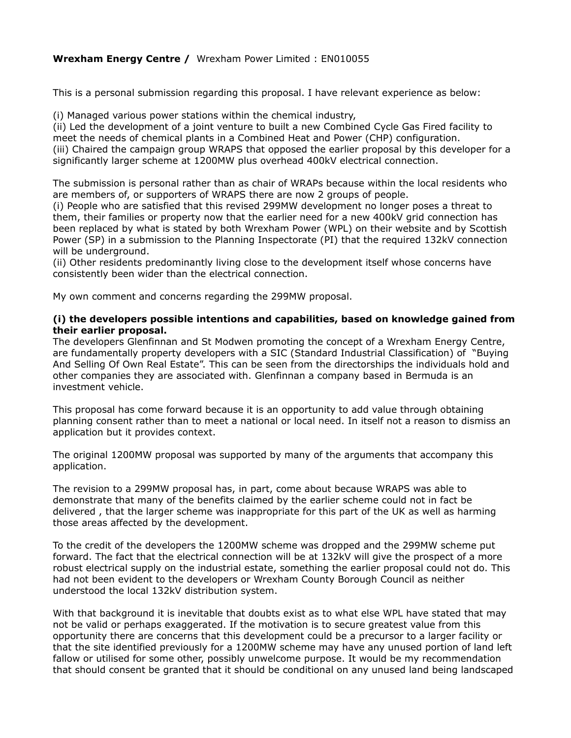# **Wrexham Energy Centre /** Wrexham Power Limited : EN010055

This is a personal submission regarding this proposal. I have relevant experience as below:

(i) Managed various power stations within the chemical industry,

(ii) Led the development of a joint venture to built a new Combined Cycle Gas Fired facility to meet the needs of chemical plants in a Combined Heat and Power (CHP) configuration. (iii) Chaired the campaign group WRAPS that opposed the earlier proposal by this developer for a significantly larger scheme at 1200MW plus overhead 400kV electrical connection.

The submission is personal rather than as chair of WRAPs because within the local residents who are members of, or supporters of WRAPS there are now 2 groups of people.

(i) People who are satisfied that this revised 299MW development no longer poses a threat to them, their families or property now that the earlier need for a new 400kV grid connection has been replaced by what is stated by both Wrexham Power (WPL) on their website and by Scottish Power (SP) in a submission to the Planning Inspectorate (PI) that the required 132kV connection will be underground.

(ii) Other residents predominantly living close to the development itself whose concerns have consistently been wider than the electrical connection.

My own comment and concerns regarding the 299MW proposal.

#### **(i) the developers possible intentions and capabilities, based on knowledge gained from their earlier proposal.**

The developers Glenfinnan and St Modwen promoting the concept of a Wrexham Energy Centre, are fundamentally property developers with a SIC (Standard Industrial Classification) of "Buying And Selling Of Own Real Estate". This can be seen from the directorships the individuals hold and other companies they are associated with. Glenfinnan a company based in Bermuda is an investment vehicle.

This proposal has come forward because it is an opportunity to add value through obtaining planning consent rather than to meet a national or local need. In itself not a reason to dismiss an application but it provides context.

The original 1200MW proposal was supported by many of the arguments that accompany this application.

The revision to a 299MW proposal has, in part, come about because WRAPS was able to demonstrate that many of the benefits claimed by the earlier scheme could not in fact be delivered , that the larger scheme was inappropriate for this part of the UK as well as harming those areas affected by the development.

To the credit of the developers the 1200MW scheme was dropped and the 299MW scheme put forward. The fact that the electrical connection will be at 132kV will give the prospect of a more robust electrical supply on the industrial estate, something the earlier proposal could not do. This had not been evident to the developers or Wrexham County Borough Council as neither understood the local 132kV distribution system.

With that background it is inevitable that doubts exist as to what else WPL have stated that may not be valid or perhaps exaggerated. If the motivation is to secure greatest value from this opportunity there are concerns that this development could be a precursor to a larger facility or that the site identified previously for a 1200MW scheme may have any unused portion of land left fallow or utilised for some other, possibly unwelcome purpose. It would be my recommendation that should consent be granted that it should be conditional on any unused land being landscaped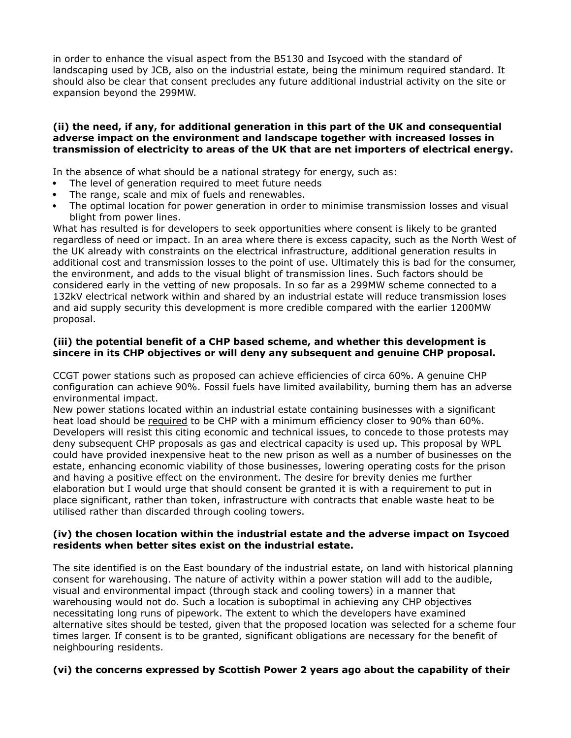in order to enhance the visual aspect from the B5130 and Isycoed with the standard of landscaping used by JCB, also on the industrial estate, being the minimum required standard. It should also be clear that consent precludes any future additional industrial activity on the site or expansion beyond the 299MW.

## **(ii) the need, if any, for additional generation in this part of the UK and consequential adverse impact on the environment and landscape together with increased losses in transmission of electricity to areas of the UK that are net importers of electrical energy.**

In the absence of what should be a national strategy for energy, such as:

- The level of generation required to meet future needs  $\bullet$
- The range, scale and mix of fuels and renewables.
- The optimal location for power generation in order to minimise transmission losses and visual blight from power lines.

What has resulted is for developers to seek opportunities where consent is likely to be granted regardless of need or impact. In an area where there is excess capacity, such as the North West of the UK already with constraints on the electrical infrastructure, additional generation results in additional cost and transmission losses to the point of use. Ultimately this is bad for the consumer, the environment, and adds to the visual blight of transmission lines. Such factors should be considered early in the vetting of new proposals. In so far as a 299MW scheme connected to a 132kV electrical network within and shared by an industrial estate will reduce transmission loses and aid supply security this development is more credible compared with the earlier 1200MW proposal.

## **(iii) the potential benefit of a CHP based scheme, and whether this development is sincere in its CHP objectives or will deny any subsequent and genuine CHP proposal.**

CCGT power stations such as proposed can achieve efficiencies of circa 60%. A genuine CHP configuration can achieve 90%. Fossil fuels have limited availability, burning them has an adverse environmental impact.

New power stations located within an industrial estate containing businesses with a significant heat load should be required to be CHP with a minimum efficiency closer to 90% than 60%. Developers will resist this citing economic and technical issues, to concede to those protests may deny subsequent CHP proposals as gas and electrical capacity is used up. This proposal by WPL could have provided inexpensive heat to the new prison as well as a number of businesses on the estate, enhancing economic viability of those businesses, lowering operating costs for the prison and having a positive effect on the environment. The desire for brevity denies me further elaboration but I would urge that should consent be granted it is with a requirement to put in place significant, rather than token, infrastructure with contracts that enable waste heat to be utilised rather than discarded through cooling towers.

## **(iv) the chosen location within the industrial estate and the adverse impact on Isycoed residents when better sites exist on the industrial estate.**

The site identified is on the East boundary of the industrial estate, on land with historical planning consent for warehousing. The nature of activity within a power station will add to the audible, visual and environmental impact (through stack and cooling towers) in a manner that warehousing would not do. Such a location is suboptimal in achieving any CHP objectives necessitating long runs of pipework. The extent to which the developers have examined alternative sites should be tested, given that the proposed location was selected for a scheme four times larger. If consent is to be granted, significant obligations are necessary for the benefit of neighbouring residents.

#### **(vi) the concerns expressed by Scottish Power 2 years ago about the capability of their**